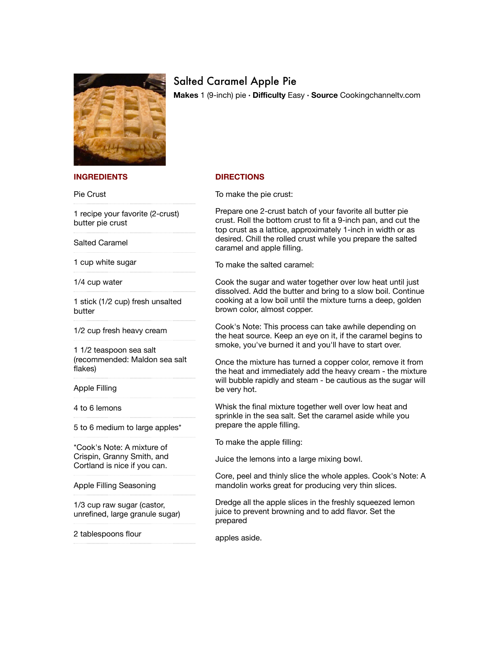

## Salted Caramel Apple Pie

**Makes** 1 (9-inch) pie **∙ Difficulty** Easy **∙ Source** Cookingchanneltv.com

## **INGREDIENTS**

Pie Crust

1 recipe your favorite (2-crust) butter pie crust

Salted Caramel

1 cup white sugar

1/4 cup water

1 stick (1/2 cup) fresh unsalted butter

1/2 cup fresh heavy cream

1 1/2 teaspoon sea salt (recommended: Maldon sea salt flakes)

Apple Filling

4 to 6 lemons

5 to 6 medium to large apples\*

\*Cook's Note: A mixture of Crispin, Granny Smith, and Cortland is nice if you can.

Apple Filling Seasoning

1/3 cup raw sugar (castor, unrefined, large granule sugar)

2 tablespoons flour

## **DIRECTIONS**

To make the pie crust:

Prepare one 2-crust batch of your favorite all butter pie crust. Roll the bottom crust to fit a 9-inch pan, and cut the top crust as a lattice, approximately 1-inch in width or as desired. Chill the rolled crust while you prepare the salted caramel and apple filling.

To make the salted caramel:

Cook the sugar and water together over low heat until just dissolved. Add the butter and bring to a slow boil. Continue cooking at a low boil until the mixture turns a deep, golden brown color, almost copper.

Cook's Note: This process can take awhile depending on the heat source. Keep an eye on it, if the caramel begins to smoke, you've burned it and you'll have to start over.

Once the mixture has turned a copper color, remove it from the heat and immediately add the heavy cream - the mixture will bubble rapidly and steam - be cautious as the sugar will be very hot.

Whisk the final mixture together well over low heat and sprinkle in the sea salt. Set the caramel aside while you prepare the apple filling.

To make the apple filling:

Juice the lemons into a large mixing bowl.

Core, peel and thinly slice the whole apples. Cook's Note: A mandolin works great for producing very thin slices.

Dredge all the apple slices in the freshly squeezed lemon juice to prevent browning and to add flavor. Set the prepared

apples aside.